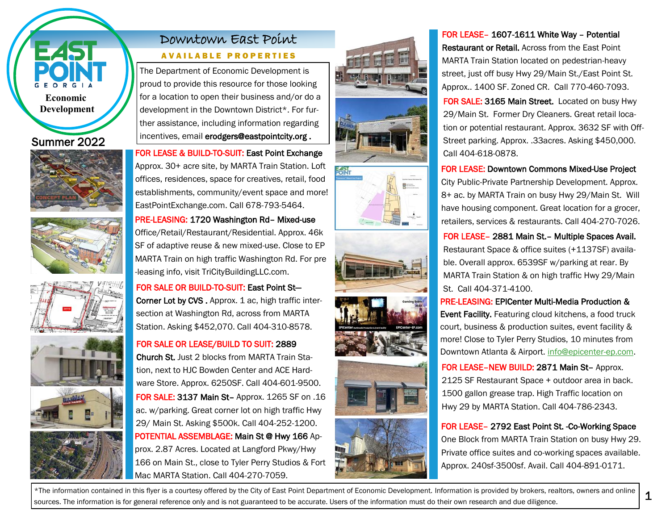

### Summer 2022











# Downtown East Point

#### AVAILABLE PROPERTIES

The Department of Economic Development is proud to provide this resource for those looking for a location to open their business and/or do a development in the Downtown District\*. For further assistance, including information regarding incentives, email erodgers@eastpointcity.org .

FOR LEASE & BUILD-TO-SUIT: East Point Exchange Approx. 30+ acre site, by MARTA Train Station. Loft offices, residences, space for creatives, retail, food establishments, community/event space and more! EastPointExchange.com. Call 678-793-5464.

PRE-LEASING: 1720 Washington Rd– Mixed-use Office/Retail/Restaurant/Residential. Approx. 46k SF of adaptive reuse & new mixed-use. Close to EP MARTA Train on high traffic Washington Rd. For pre -leasing info, visit TriCityBuildingLLC.com.

FOR SALE OR BUILD-TO-SUIT: East Point St— Corner Lot by CVS. Approx. 1 ac, high traffic inter-

section at Washington Rd, across from MARTA Station. Asking \$452,070. Call 404-310-8578.

### FOR SALE OR LEASE/BUILD TO SUIT: 2889

FOR SALE: 3137 Main St– Approx. 1265 SF on .16 ac. w/parking. Great corner lot on high traffic Hwy 29/ Main St. Asking \$500k. Call 404-252-1200. POTENTIAL ASSEMBLAGE: Main St @ Hwy 166 Approx. 2.87 Acres. Located at Langford Pkwy/Hwy 166 on Main St., close to Tyler Perry Studios & Fort Mac MARTA Station. Call 404-270-7059. Church St. Just 2 blocks from MARTA Train Station, next to HJC Bowden Center and ACE Hardware Store. Approx. 6250SF. Call 404-601-9500.













## FOR LEASE– 1607-1611 White Way – Potential

Restaurant or Retail. Across from the East Point MARTA Train Station located on pedestrian-heavy street, just off busy Hwy 29/Main St./East Point St. Approx.. 1400 SF. Zoned CR. Call 770-460-7093. FOR SALE: 3165 Main Street. Located on busy Hwy 29/Main St. Former Dry Cleaners. Great retail location or potential restaurant. Approx. 3632 SF with Off-Street parking. Approx. .33acres. Asking \$450,000. Call 404-618-0878.

FOR LEASE: Downtown Commons Mixed-Use Project

City Public-Private Partnership Development. Approx. 8+ ac. by MARTA Train on busy Hwy 29/Main St. Will have housing component. Great location for a grocer, retailers, services & restaurants. Call 404-270-7026.

FOR LEASE– 2881 Main St.– Multiple Spaces Avail. Restaurant Space & office suites (+1137SF) available. Overall approx. 6539SF w/parking at rear. By MARTA Train Station & on high traffic Hwy 29/Main St. Call 404-371-4100.

PRE-LEASING: EPICenter Multi-Media Production & **Event Facility.** Featuring cloud kitchens, a food truck court, business & production suites, event facility & more! Close to Tyler Perry Studios, 10 minutes from Downtown Atlanta & Airport. [info@epicenter-ep.com.](mailto:info@epicenter-ep.com)

FOR LEASE–NEW BUILD: 2871 Main St– Approx. 2125 SF Restaurant Space + outdoor area in back. 1500 gallon grease trap. High Traffic location on Hwy 29 by MARTA Station. Call 404-786-2343.

FOR LEASE– 2792 East Point St. -Co-Working Space One Block from MARTA Train Station on busy Hwy 29. Private office suites and co-working spaces available. Approx. 240sf-3500sf. Avail. Call 404-891-0171.

\*The information contained in this flyer is a courtesy offered by the City of East Point Department of Economic Development. Information is provided by brokers, realtors, owners and online sources. The information is for general reference only and is not guaranteed to be accurate. Users of the information must do their own research and due diligence.